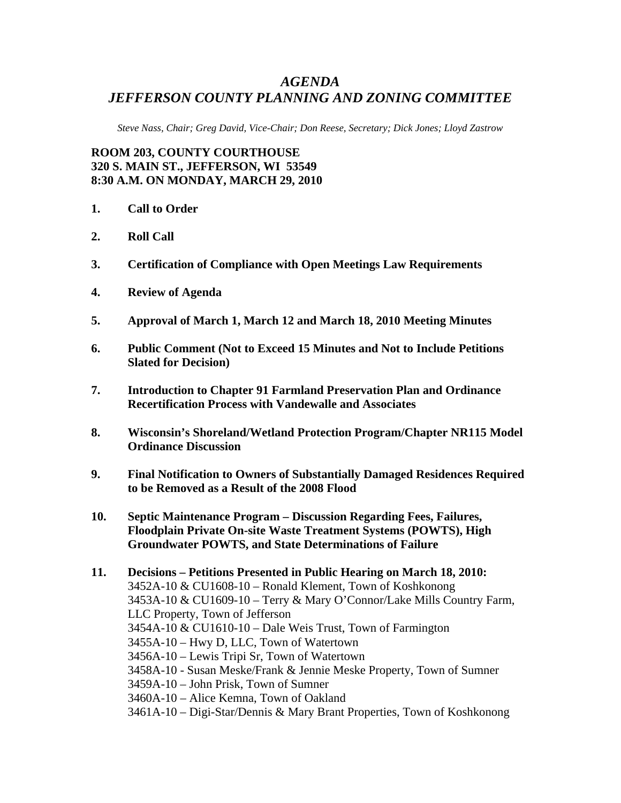## *AGENDA JEFFERSON COUNTY PLANNING AND ZONING COMMITTEE*

*Steve Nass, Chair; Greg David, Vice-Chair; Don Reese, Secretary; Dick Jones; Lloyd Zastrow* 

**ROOM 203, COUNTY COURTHOUSE 320 S. MAIN ST., JEFFERSON, WI 53549 8:30 A.M. ON MONDAY, MARCH 29, 2010** 

- **1. Call to Order**
- **2. Roll Call**
- **3. Certification of Compliance with Open Meetings Law Requirements**
- **4. Review of Agenda**
- **5. Approval of March 1, March 12 and March 18, 2010 Meeting Minutes**
- **6. Public Comment (Not to Exceed 15 Minutes and Not to Include Petitions Slated for Decision)**
- **7. Introduction to Chapter 91 Farmland Preservation Plan and Ordinance Recertification Process with Vandewalle and Associates**
- **8. Wisconsin's Shoreland/Wetland Protection Program/Chapter NR115 Model Ordinance Discussion**
- **9. Final Notification to Owners of Substantially Damaged Residences Required to be Removed as a Result of the 2008 Flood**
- **10. Septic Maintenance Program Discussion Regarding Fees, Failures, Floodplain Private On-site Waste Treatment Systems (POWTS), High Groundwater POWTS, and State Determinations of Failure**

**11. Decisions – Petitions Presented in Public Hearing on March 18, 2010:**  3452A-10 & CU1608-10 – Ronald Klement, Town of Koshkonong 3453A-10 & CU1609-10 – Terry & Mary O'Connor/Lake Mills Country Farm, LLC Property, Town of Jefferson 3454A-10 & CU1610-10 – Dale Weis Trust, Town of Farmington 3455A-10 – Hwy D, LLC, Town of Watertown 3456A-10 – Lewis Tripi Sr, Town of Watertown 3458A-10 - Susan Meske/Frank & Jennie Meske Property, Town of Sumner 3459A-10 – John Prisk, Town of Sumner 3460A-10 – Alice Kemna, Town of Oakland 3461A-10 – Digi-Star/Dennis & Mary Brant Properties, Town of Koshkonong